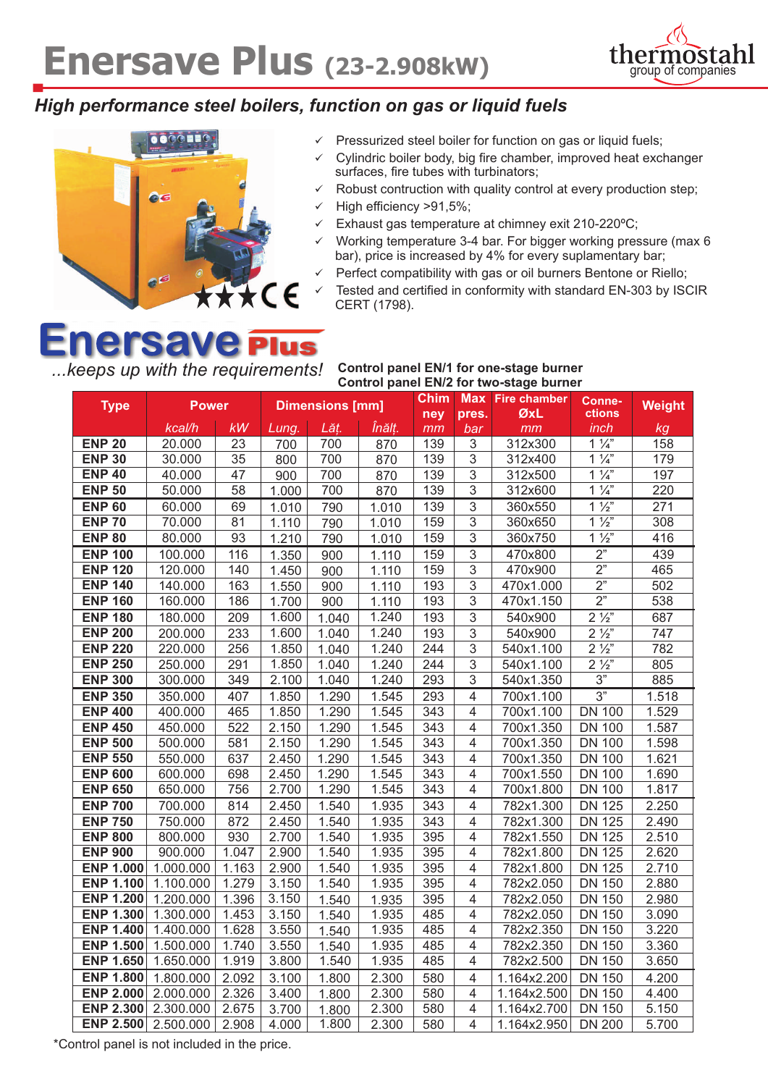

### *High performance steel boilers, function on gas or liquid fuels*



- $\checkmark$  Pressurized steel boiler for function on gas or liquid fuels;
- Cylindric boiler body, big fire chamber, improved heat exchanger surfaces, fire tubes with turbinators;
- $\checkmark$  Robust contruction with quality control at every production step;
- High efficiency >91,5%;
- Exhaust gas temperature at chimney exit 210-220°C;
- Working temperature 3-4 bar. For bigger working pressure (max 6 bar), price is increased by 4% for every suplamentary bar;
- Perfect compatibility with gas or oil burners Bentone or Riello;
- Tested and certified in conformity with standard EN-303 by ISCIR CERT (1798).

# **Enersave Plus**

*...keeps up with the requirements!* **Control panel EN/1 for one-stage burner Control panel EN/2 for two-stage burner**

| <b>Type</b>                          |                        | <b>Dimensions [mm]</b><br><b>Power</b> |                |                | <b>Chim</b><br><b>Max</b><br>ney<br>pres. |                  | <b>Fire chamber</b><br>ØxL | Conne-<br>ctions           | <b>Weight</b>                  |                |
|--------------------------------------|------------------------|----------------------------------------|----------------|----------------|-------------------------------------------|------------------|----------------------------|----------------------------|--------------------------------|----------------|
|                                      | kcal/h                 | <b>kW</b>                              | Lung.          | Lăț.           | Înălț.                                    | mm               | bar                        | mm                         | inch                           | kg             |
| <b>ENP 20</b>                        | 20.000                 | 23                                     | 700            | 700            | 870                                       | 139              | 3                          | 312x300                    | $1\frac{1}{4}$                 | 158            |
| <b>ENP 30</b>                        | 30.000                 | 35                                     | 800            | 700            | 870                                       | 139              | 3                          | 312x400                    | $1\frac{1}{4}$                 | 179            |
| <b>ENP 40</b>                        | 40.000                 | 47                                     | 900            | 700            | 870                                       | 139              | $\overline{3}$             | 312x500                    | $1\frac{1}{4}$                 | 197            |
| <b>ENP 50</b>                        | 50.000                 | 58                                     | 1.000          | 700            | 870                                       | 139              | $\overline{3}$             | 312x600                    | $1\frac{1}{4}$                 | 220            |
| <b>ENP 60</b>                        | 60.000                 | 69                                     | 1.010          | 790            | 1.010                                     | 139              | 3                          | 360x550                    | $1\frac{1}{2}$                 | 271            |
| <b>ENP 70</b>                        | 70.000                 | 81                                     | 1.110          | 790            | 1.010                                     | 159              | $\overline{3}$             | 360x650                    | $1\frac{1}{2}$                 | 308            |
| <b>ENP 80</b>                        | 80.000                 | 93                                     | 1.210          | 790            | 1.010                                     | 159              | 3                          | 360x750                    | $1\frac{1}{2}$                 | 416            |
| <b>ENP 100</b>                       | 100.000                | 116                                    | 1.350          | 900            | 1.110                                     | 159              | $\overline{3}$             | 470x800                    | 2"                             | 439            |
| <b>ENP 120</b>                       | 120.000                | 140                                    | 1.450          | 900            | 1.110                                     | 159              | $\overline{3}$             | 470x900                    | $\overline{2}$ "               | 465            |
| <b>ENP 140</b>                       | 140.000                | 163                                    | 1.550          | 900            | 1.110                                     | 193              | 3                          | 470x1.000                  | 2"                             | 502            |
| <b>ENP 160</b>                       | 160.000                | 186                                    | 1.700          | 900            | 1.110                                     | 193              | $\ensuremath{\mathsf{3}}$  | 470x1.150                  | 2"                             | 538            |
| <b>ENP 180</b>                       | 180.000                | 209                                    | 1.600          | 1.040          | 1.240                                     | 193              | $\overline{3}$             | 540x900                    | $2\frac{1}{2}$                 | 687            |
| <b>ENP 200</b>                       | 200.000                | 233                                    | 1.600          | 1.040          | 1.240                                     | 193              | 3                          | 540x900                    | $2\frac{1}{2}$                 | 747            |
| <b>ENP 220</b>                       | 220.000                | 256                                    | 1.850          | 1.040          | 1.240                                     | 244              | 3                          | 540x1.100                  | $2\frac{1}{2}$                 | 782            |
| <b>ENP 250</b>                       | 250.000                | 291                                    | 1.850          | 1.040          | 1.240                                     | 244              | 3                          | 540x1.100                  | $2\frac{1}{2}$                 | 805            |
| <b>ENP 300</b>                       | 300.000                | 349                                    | 2.100          | 1.040          | 1.240                                     | 293              | 3                          | 540x1.350                  | 3"                             | 885            |
| <b>ENP 350</b>                       | 350.000                | 407                                    | 1.850          | 1.290          | 1.545                                     | 293              | $\overline{4}$             | 700x1.100                  | 3"                             | 1.518          |
| <b>ENP 400</b>                       | 400.000                | 465                                    | 1.850          | 1.290          | 1.545                                     | 343              | 4                          | 700x1.100                  | <b>DN 100</b>                  | 1.529          |
| <b>ENP 450</b>                       | 450.000                | 522                                    | 2.150          | 1.290          | 1.545                                     | 343              | $\overline{4}$             | 700x1.350                  | <b>DN 100</b>                  | 1.587          |
| <b>ENP 500</b>                       | 500.000                | 581                                    | 2.150          | 1.290          | 1.545                                     | $\overline{343}$ | 4                          | 700x1.350                  | <b>DN 100</b>                  | 1.598          |
| <b>ENP 550</b>                       | 550.000                | 637                                    | 2.450          | 1.290          | 1.545                                     | $\frac{1}{343}$  | $\overline{4}$             | 700x1.350                  | <b>DN 100</b>                  | 1.621          |
| <b>ENP 600</b>                       | 600.000                | 698                                    | 2.450          | 1.290          | 1.545                                     | $\overline{343}$ | $\overline{4}$             | 700x1.550                  | <b>DN 100</b>                  | 1.690          |
| <b>ENP 650</b>                       | 650.000                | 756                                    | 2.700          | 1.290          | 1.545                                     | 343              | 4                          | 700x1.800                  | <b>DN 100</b>                  | 1.817          |
| <b>ENP 700</b>                       | 700.000                | 814                                    | 2.450          | 1.540          | 1.935                                     | 343              | 4                          | 782x1.300                  | <b>DN 125</b>                  | 2.250          |
| <b>ENP 750</b>                       | 750.000                | 872                                    | 2.450          | 1.540          | 1.935                                     | 343              | 4                          | 782x1.300                  | <b>DN 125</b>                  | 2.490          |
| <b>ENP 800</b>                       | 800.000                | 930                                    | 2.700          | 1.540          | 1.935                                     | 395              | 4                          | 782x1.550                  | <b>DN 125</b>                  | 2.510          |
| <b>ENP 900</b>                       | 900.000                | 1.047                                  | 2.900          | 1.540          | 1.935                                     | 395              | $\overline{4}$             | 782x1.800                  | <b>DN 125</b>                  | 2.620          |
| <b>ENP 1.000</b>                     | 1.000.000              | 1.163                                  | 2.900          | 1.540          | 1.935                                     | 395              | 4                          | 782x1.800                  | <b>DN 125</b>                  | 2.710          |
| <b>ENP 1.100</b>                     | 1.100.000              | 1.279                                  | 3.150          | 1.540          | 1.935                                     | 395              | 4                          | 782x2.050                  | <b>DN 150</b>                  | 2.880          |
| <b>ENP 1.200</b>                     | 1.200.000              | 1.396                                  | 3.150          | 1.540          | 1.935                                     | 395              | 4                          | 782x2.050                  | <b>DN 150</b>                  | 2.980          |
| <b>ENP 1.300</b>                     | 1.300.000              | 1.453                                  | 3.150          | 1.540          | 1.935                                     | 485              | $\overline{4}$             | 782x2.050                  | <b>DN 150</b>                  | 3.090          |
| <b>ENP 1.400</b>                     | 1.400.000              | 1.628                                  | 3.550          | 1.540          | 1.935                                     | 485              | $\overline{4}$             | 782x2.350                  | <b>DN 150</b>                  | 3.220          |
| <b>ENP 1.500</b><br><b>ENP 1.650</b> | 1.500.000<br>1.650.000 | 1.740<br>1.919                         | 3.550<br>3.800 | 1.540<br>1.540 | 1.935<br>1.935                            | 485<br>485       | 4<br>$\overline{4}$        | 782x2.350<br>782x2.500     | <b>DN 150</b><br><b>DN 150</b> | 3.360<br>3.650 |
|                                      |                        |                                        |                |                |                                           |                  |                            |                            |                                |                |
| <b>ENP 1.800</b><br><b>ENP 2.000</b> | 1.800.000<br>2.000.000 | 2.092<br>2.326                         | 3.100<br>3.400 | 1.800          | 2.300<br>2.300                            | 580<br>580       | 4                          | 1.164x2.200<br>1.164x2.500 | <b>DN 150</b><br><b>DN 150</b> | 4.200<br>4.400 |
| <b>ENP 2.300</b>                     | 2.300.000              | 2.675                                  |                | 1.800          | 2.300                                     | 580              | 4<br>$\overline{4}$        | 1.164x2.700                | <b>DN 150</b>                  | 5.150          |
| <b>ENP 2.500</b>                     | 2.500.000              | 2.908                                  | 3.700          | 1.800<br>1.800 | 2.300                                     | 580              | 4                          |                            | <b>DN 200</b>                  |                |
|                                      |                        |                                        | 4.000          |                |                                           |                  |                            | 1.164x2.950                |                                | 5.700          |

\*Control panel is not included in the price.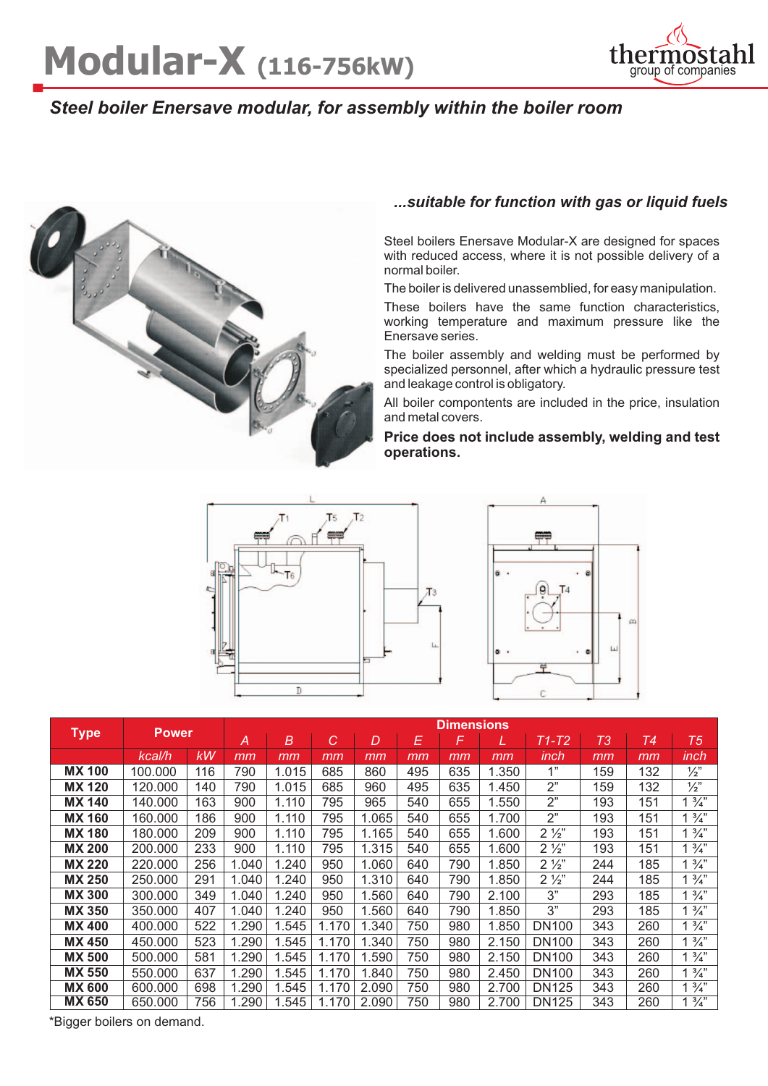

## *Steel boiler Enersave modular, for assembly within the boiler room*



#### *...suitable for function with gas or liquid fuels*

Steel boilers Enersave Modular-X are designed for spaces with reduced access, where it is not possible delivery of a normal boiler.

The boiler is delivered unassemblied, for easy manipulation.

These boilers have the same function characteristics, working temperature and maximum pressure like the Enersave series.

The boiler assembly and welding must be performed by specialized personnel, after which a hydraulic pressure test and leakage control is obligatory.

All boiler compontents are included in the price, insulation and metal covers.

**Price does not include assembly, welding and test operations.**





|               | <b>Power</b> |     | <b>Dimensions</b> |       |       |       |     |     |       |                |     |     |                 |
|---------------|--------------|-----|-------------------|-------|-------|-------|-----|-----|-------|----------------|-----|-----|-----------------|
| <b>Type</b>   |              |     | A                 | B     | C     | D     | E   | F   | L     | $T1-T2$        | T3  | Т4  | T5              |
|               | kcal/h       | kW  | mm                | mm    | mm    | mm    | mm  | mm  | mm    | inch           | mm  | mm  | inch            |
| <b>MX 100</b> | 100.000      | 116 | 790               | 1.015 | 685   | 860   | 495 | 635 | 1.350 | 1"             | 159 | 132 | $\frac{1}{2}$   |
| <b>MX 120</b> | 120,000      | 140 | 790               | 1.015 | 685   | 960   | 495 | 635 | 1.450 | 2"             | 159 | 132 | $\frac{1}{2}$   |
| <b>MX 140</b> | 140.000      | 163 | 900               | 1.110 | 795   | 965   | 540 | 655 | 1.550 | 2"             | 193 | 151 | $\frac{3}{4}$ " |
| <b>MX 160</b> | 160,000      | 186 | 900               | 1.110 | 795   | 1.065 | 540 | 655 | 1.700 | 2"             | 193 | 151 | $1\frac{3}{4}$  |
| <b>MX 180</b> | 180.000      | 209 | 900               | 1.110 | 795   | 1.165 | 540 | 655 | 1.600 | $2\frac{1}{2}$ | 193 | 151 | $\frac{3}{4}$   |
| <b>MX 200</b> | 200,000      | 233 | 900               | 1.110 | 795   | 1.315 | 540 | 655 | 1.600 | $2\frac{1}{2}$ | 193 | 151 | $\frac{3}{4}$   |
| <b>MX 220</b> | 220,000      | 256 | 1.040             | 1.240 | 950   | 1.060 | 640 | 790 | 1.850 | $2\frac{1}{2}$ | 244 | 185 | $\frac{3}{4}$ " |
| <b>MX 250</b> | 250,000      | 291 | 1.040             | 1.240 | 950   | 1.310 | 640 | 790 | 1.850 | $2\frac{1}{2}$ | 244 | 185 | $1\frac{3}{4}$  |
| <b>MX 300</b> | 300,000      | 349 | 1.040             | 1.240 | 950   | 1.560 | 640 | 790 | 2.100 | 3"             | 293 | 185 | $\frac{3}{4}$   |
| <b>MX 350</b> | 350.000      | 407 | 1.040             | 1.240 | 950   | 1.560 | 640 | 790 | 1.850 | 3"             | 293 | 185 | $\frac{3}{4}$   |
| <b>MX400</b>  | 400,000      | 522 | 1.290             | .545  | 1.170 | 1.340 | 750 | 980 | 1.850 | <b>DN100</b>   | 343 | 260 | $\frac{3}{4}$ " |
| <b>MX 450</b> | 450,000      | 523 | 1.290             | .545  | 1.170 | 1.340 | 750 | 980 | 2.150 | <b>DN100</b>   | 343 | 260 | $1\frac{3}{4}$  |
| <b>MX 500</b> | 500,000      | 581 | 1.290             | 1.545 | 1.170 | 1.590 | 750 | 980 | 2.150 | <b>DN100</b>   | 343 | 260 | $1\frac{3}{4}$  |
| <b>MX 550</b> | 550,000      | 637 | 1.290             | 1.545 | 1.170 | 1.840 | 750 | 980 | 2.450 | <b>DN100</b>   | 343 | 260 | $\frac{3}{4}$ " |
| <b>MX 600</b> | 600,000      | 698 | 1.290             | .545  | 1.170 | 2.090 | 750 | 980 | 2.700 | <b>DN125</b>   | 343 | 260 | $\frac{3}{4}$   |
| <b>MX 650</b> | 650,000      | 756 | .290              | .545  | 1.170 | 2.090 | 750 | 980 | 2.700 | <b>DN125</b>   | 343 | 260 | $\frac{3}{4}$   |

\*Bigger boilers on demand.